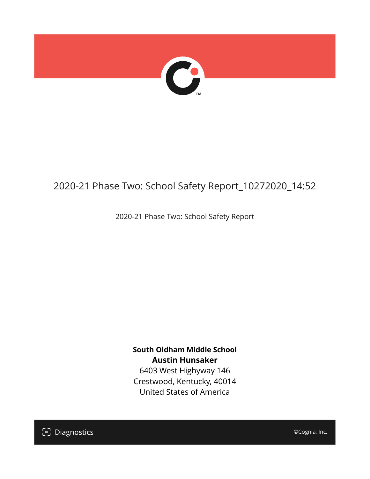

## 2020-21 Phase Two: School Safety Report\_10272020\_14:52

2020-21 Phase Two: School Safety Report

**South Oldham Middle School Austin Hunsaker** 6403 West Highyway 146

Crestwood, Kentucky, 40014 United States of America

[၁] Diagnostics

©Cognia, Inc.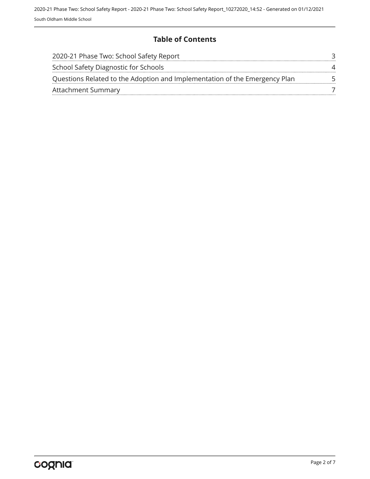#### **Table of Contents**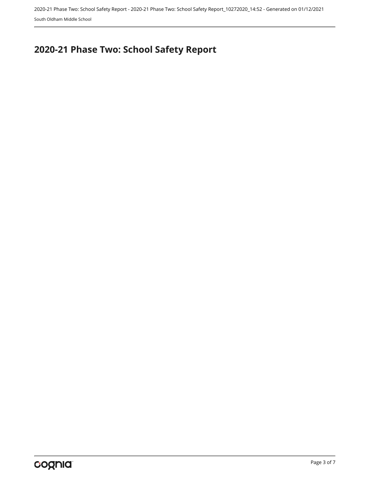2020-21 Phase Two: School Safety Report - 2020-21 Phase Two: School Safety Report\_10272020\_14:52 - Generated on 01/12/2021 South Oldham Middle School

# <span id="page-2-0"></span>**2020-21 Phase Two: School Safety Report**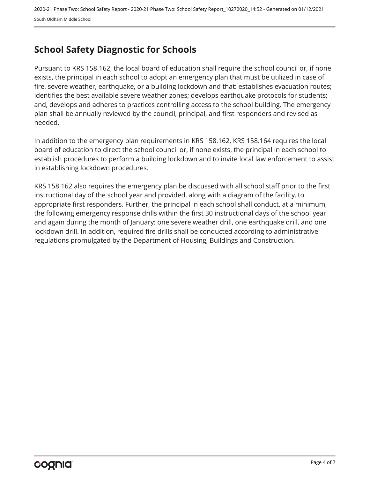### <span id="page-3-0"></span>**School Safety Diagnostic for Schools**

Pursuant to KRS 158.162, the local board of education shall require the school council or, if none exists, the principal in each school to adopt an emergency plan that must be utilized in case of fire, severe weather, earthquake, or a building lockdown and that: establishes evacuation routes; identifies the best available severe weather zones; develops earthquake protocols for students; and, develops and adheres to practices controlling access to the school building. The emergency plan shall be annually reviewed by the council, principal, and first responders and revised as needed.

In addition to the emergency plan requirements in KRS 158.162, KRS 158.164 requires the local board of education to direct the school council or, if none exists, the principal in each school to establish procedures to perform a building lockdown and to invite local law enforcement to assist in establishing lockdown procedures.

KRS 158.162 also requires the emergency plan be discussed with all school staff prior to the first instructional day of the school year and provided, along with a diagram of the facility, to appropriate first responders. Further, the principal in each school shall conduct, at a minimum, the following emergency response drills within the first 30 instructional days of the school year and again during the month of January: one severe weather drill, one earthquake drill, and one lockdown drill. In addition, required fire drills shall be conducted according to administrative regulations promulgated by the Department of Housing, Buildings and Construction.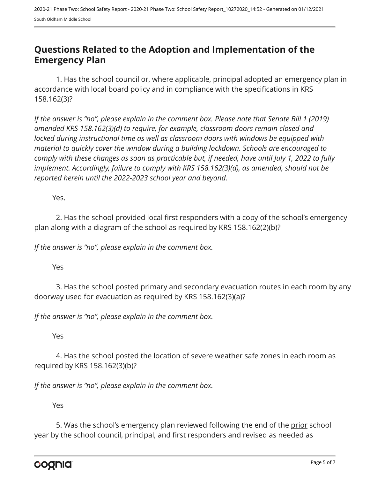#### <span id="page-4-0"></span>**Questions Related to the Adoption and Implementation of the Emergency Plan**

1. Has the school council or, where applicable, principal adopted an emergency plan in accordance with local board policy and in compliance with the specifications in KRS 158.162(3)?

*If the answer is "no", please explain in the comment box. Please note that Senate Bill 1 (2019) amended KRS 158.162(3)(d) to require, for example, classroom doors remain closed and locked during instructional time as well as classroom doors with windows be equipped with material to quickly cover the window during a building lockdown. Schools are encouraged to comply with these changes as soon as practicable but, if needed, have until July 1, 2022 to fully implement. Accordingly, failure to comply with KRS 158.162(3)(d), as amended, should not be reported herein until the 2022-2023 school year and beyond.*

Yes.

2. Has the school provided local first responders with a copy of the school's emergency plan along with a diagram of the school as required by KRS 158.162(2)(b)?

*If the answer is "no", please explain in the comment box.*

Yes

3. Has the school posted primary and secondary evacuation routes in each room by any doorway used for evacuation as required by KRS 158.162(3)(a)?

*If the answer is "no", please explain in the comment box.*

Yes

4. Has the school posted the location of severe weather safe zones in each room as required by KRS 158.162(3)(b)?

*If the answer is "no", please explain in the comment box.*

Yes

5. Was the school's emergency plan reviewed following the end of the prior school year by the school council, principal, and first responders and revised as needed as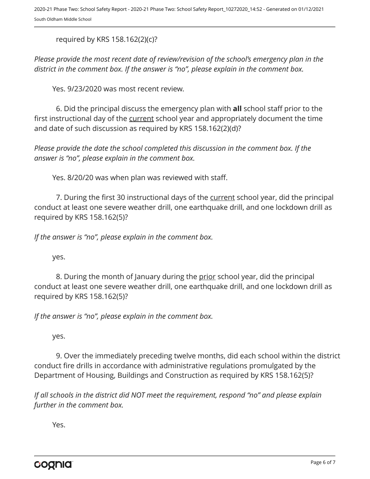required by KRS 158.162(2)(c)?

*Please provide the most recent date of review/revision of the school's emergency plan in the district in the comment box. If the answer is "no", please explain in the comment box.* 

Yes. 9/23/2020 was most recent review.

6. Did the principal discuss the emergency plan with **all** school staff prior to the first instructional day of the current school year and appropriately document the time and date of such discussion as required by KRS 158.162(2)(d)?

*Please provide the date the school completed this discussion in the comment box. If the answer is "no", please explain in the comment box.*

Yes. 8/20/20 was when plan was reviewed with staff.

7. During the first 30 instructional days of the current school year, did the principal conduct at least one severe weather drill, one earthquake drill, and one lockdown drill as required by KRS 158.162(5)?

*If the answer is "no", please explain in the comment box.*

yes.

8. During the month of January during the prior school year, did the principal conduct at least one severe weather drill, one earthquake drill, and one lockdown drill as required by KRS 158.162(5)?

*If the answer is "no", please explain in the comment box.*

yes.

9. Over the immediately preceding twelve months, did each school within the district conduct fire drills in accordance with administrative regulations promulgated by the Department of Housing, Buildings and Construction as required by KRS 158.162(5)?

*If all schools in the district did NOT meet the requirement, respond "no" and please explain further in the comment box.* 

Yes.